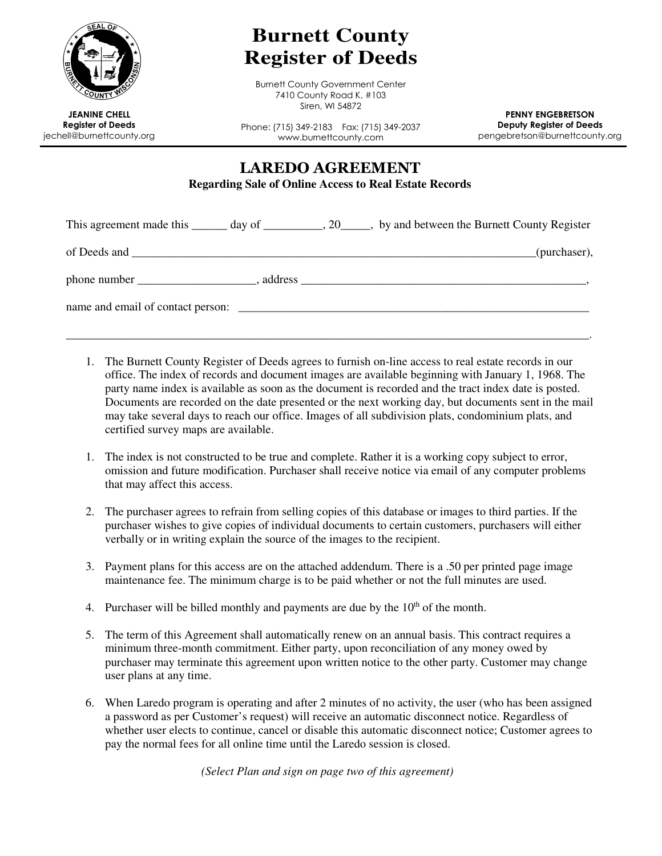

## **Burnett County Register of Deeds**

Burnett County Government Center 7410 County Road K, #103 Siren, WI 54872

JEANINE CHELL Register of Deeds jechell@burnettcounty.org

Phone: (715) 349-2183 Fax: (715) 349-2037 www.burnettcounty.com

PENNY ENGEBRETSON Deputy Register of Deeds pengebretson@burnettcounty.org

LAREDO AGREEMENT **Regarding Sale of Online Access to Real Estate Records** 

| This agreement made this _______ day of __________, 20_____, by and between the Burnett County Register |  |  |              |
|---------------------------------------------------------------------------------------------------------|--|--|--------------|
|                                                                                                         |  |  | (purchaser), |
|                                                                                                         |  |  |              |
|                                                                                                         |  |  |              |
|                                                                                                         |  |  |              |

- 1. The Burnett County Register of Deeds agrees to furnish on-line access to real estate records in our office. The index of records and document images are available beginning with January 1, 1968. The party name index is available as soon as the document is recorded and the tract index date is posted. Documents are recorded on the date presented or the next working day, but documents sent in the mail may take several days to reach our office. Images of all subdivision plats, condominium plats, and certified survey maps are available.
- 1. The index is not constructed to be true and complete. Rather it is a working copy subject to error, omission and future modification. Purchaser shall receive notice via email of any computer problems that may affect this access.
- 2. The purchaser agrees to refrain from selling copies of this database or images to third parties. If the purchaser wishes to give copies of individual documents to certain customers, purchasers will either verbally or in writing explain the source of the images to the recipient.
- 3. Payment plans for this access are on the attached addendum. There is a .50 per printed page image maintenance fee. The minimum charge is to be paid whether or not the full minutes are used.
- 4. Purchaser will be billed monthly and payments are due by the  $10<sup>th</sup>$  of the month.
- 5. The term of this Agreement shall automatically renew on an annual basis. This contract requires a minimum three-month commitment. Either party, upon reconciliation of any money owed by purchaser may terminate this agreement upon written notice to the other party. Customer may change user plans at any time.
- 6. When Laredo program is operating and after 2 minutes of no activity, the user (who has been assigned a password as per Customer's request) will receive an automatic disconnect notice. Regardless of whether user elects to continue, cancel or disable this automatic disconnect notice; Customer agrees to pay the normal fees for all online time until the Laredo session is closed.

*(Select Plan and sign on page two of this agreement)*